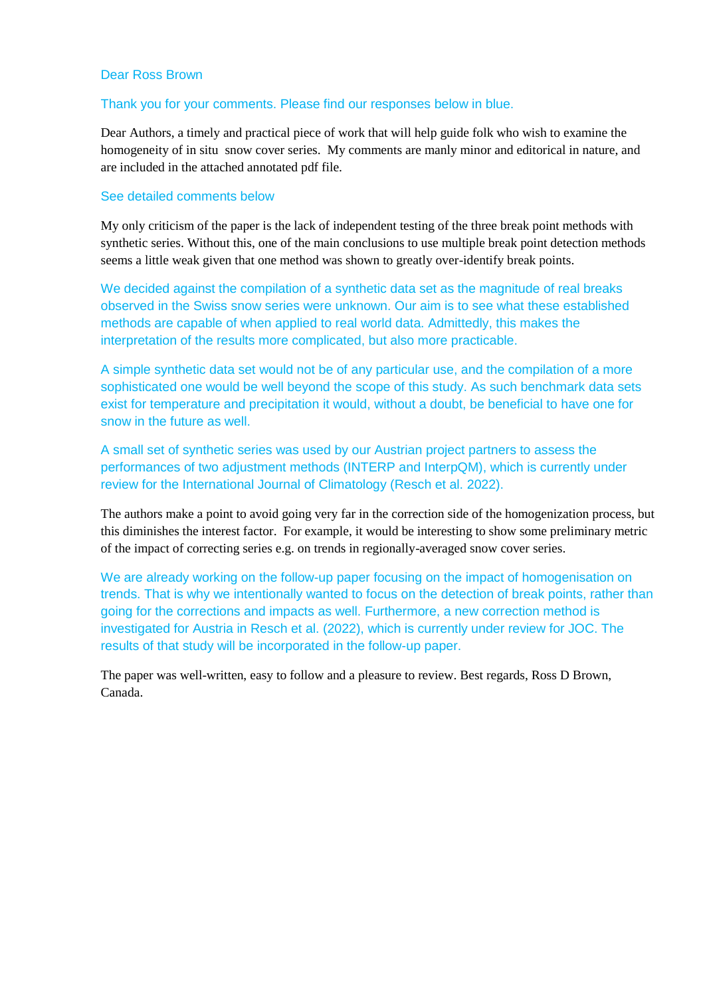# Dear Ross Brown

### Thank you for your comments. Please find our responses below in blue.

Dear Authors, a timely and practical piece of work that will help guide folk who wish to examine the homogeneity of in situ snow cover series. My comments are manly minor and editorical in nature, and are included in the attached annotated pdf file.

### See detailed comments below

My only criticism of the paper is the lack of independent testing of the three break point methods with synthetic series. Without this, one of the main conclusions to use multiple break point detection methods seems a little weak given that one method was shown to greatly over-identify break points.

We decided against the compilation of a synthetic data set as the magnitude of real breaks observed in the Swiss snow series were unknown. Our aim is to see what these established methods are capable of when applied to real world data. Admittedly, this makes the interpretation of the results more complicated, but also more practicable.

A simple synthetic data set would not be of any particular use, and the compilation of a more sophisticated one would be well beyond the scope of this study. As such benchmark data sets exist for temperature and precipitation it would, without a doubt, be beneficial to have one for snow in the future as well.

A small set of synthetic series was used by our Austrian project partners to assess the performances of two adjustment methods (INTERP and InterpQM), which is currently under review for the International Journal of Climatology (Resch et al. 2022).

The authors make a point to avoid going very far in the correction side of the homogenization process, but this diminishes the interest factor. For example, it would be interesting to show some preliminary metric of the impact of correcting series e.g. on trends in regionally-averaged snow cover series.

We are already working on the follow-up paper focusing on the impact of homogenisation on trends. That is why we intentionally wanted to focus on the detection of break points, rather than going for the corrections and impacts as well. Furthermore, a new correction method is investigated for Austria in Resch et al. (2022), which is currently under review for JOC. The results of that study will be incorporated in the follow-up paper.

The paper was well-written, easy to follow and a pleasure to review. Best regards, Ross D Brown, Canada.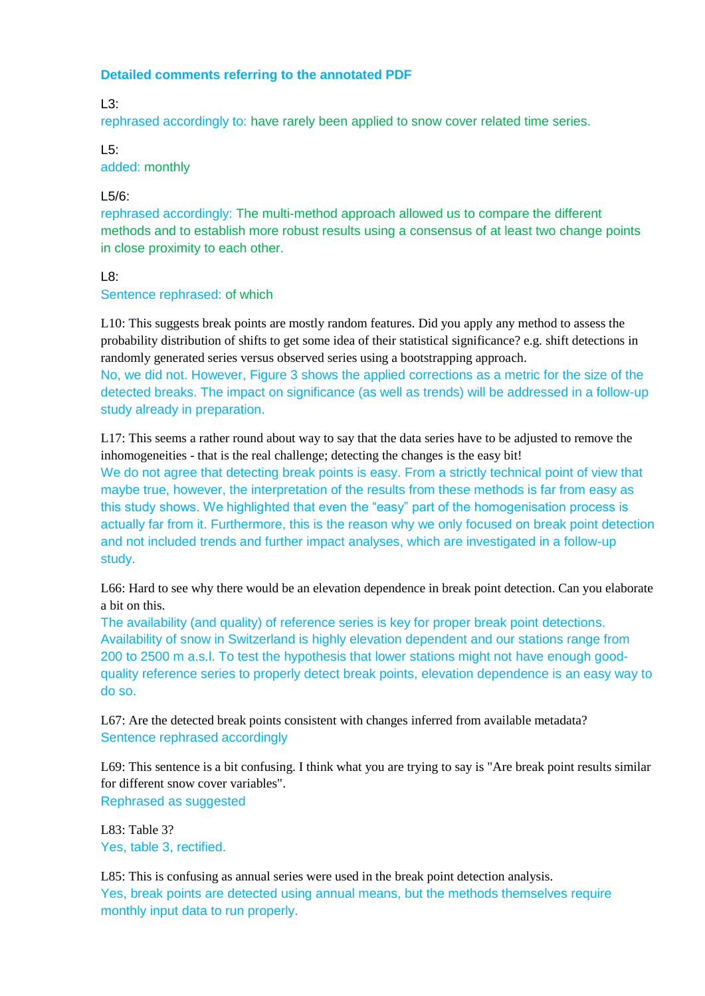# **Detailed comments referring to the annotated PDF**

 $1.3^{\circ}$ 

rephrased accordingly to: have rarely been applied to snow cover related time series.

### $L5$ : added: monthly

# L5/6:

rephrased accordingly: The multi-method approach allowed us to compare the different methods and to establish more robust results using a consensus of at least two change points in close proximity to each other.

# L8:

# Sentence rephrased: of which

L10: This suggests break points are mostly random features. Did you apply any method to assess the probability distribution of shifts to get some idea of their statistical significance? e.g. shift detections in randomly generated series versus observed series using a bootstrapping approach.

No, we did not. However, Figure 3 shows the applied corrections as a metric for the size of the detected breaks. The impact on significance (as well as trends) will be addressed in a follow-up study already in preparation.

L17: This seems a rather round about way to say that the data series have to be adjusted to remove the inhomogeneities - that is the real challenge; detecting the changes is the easy bit!

We do not agree that detecting break points is easy. From a strictly technical point of view that maybe true, however, the interpretation of the results from these methods is far from easy as this study shows. We highlighted that even the "easy" part of the homogenisation process is actually far from it. Furthermore, this is the reason why we only focused on break point detection and not included trends and further impact analyses, which are investigated in a follow-up study.

L66: Hard to see why there would be an elevation dependence in break point detection. Can you elaborate a bit on this.

The availability (and quality) of reference series is key for proper break point detections. Availability of snow in Switzerland is highly elevation dependent and our stations range from 200 to 2500 m a.s.l. To test the hypothesis that lower stations might not have enough goodquality reference series to properly detect break points, elevation dependence is an easy way to do so.

L67: Are the detected break points consistent with changes inferred from available metadata? Sentence rephrased accordingly

L69: This sentence is a bit confusing. I think what you are trying to say is "Are break point results similar for different snow cover variables". Rephrased as suggested

L83: Table 3? Yes, table 3, rectified.

L85: This is confusing as annual series were used in the break point detection analysis. Yes, break points are detected using annual means, but the methods themselves require monthly input data to run properly.